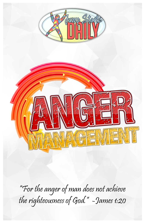



"For the anger of man does not achieve the righteousness of God." -James 1:20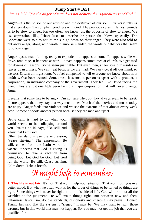### **Jump Start # 1651**

## *James 1:20 "for the anger of man does not achieve the righteousness of God."*

Anger—it's the poison of our attitude and the destroyer of our soul. Our verse tells us that anger doesn't accomplish goodness with God. The previous verse in James reminds us to be slow to anger. Far too often, we know just the opposite of slow to anger. We use expressions like, "short fuse" to describe the person that blows up easily. The Ephesians were told to not let the sun go down on their anger. They were also told to put away anger, along with wrath, clamor & slander, the words & behaviors that seem to follow anger.

Anger, upset, mad, fuming, ready to explode – it happens at home. It happens while we drive, road rage. It happens at work. It even happens sometimes at church. We get mad for dozens of reasons. Some seem justifiable. But even then, anger stirs our insides  $\&$ leaves us in a mess. We can't eat because we are mad. We can't get it off our mind, so we toss & turn all night long. We feel compelled to tell everyone we know about how unfair we've been treated. Sometimes, it seems, a person is upset with a product, a corporation, an insurance company or the government. They feel like David facing the giant. They are just one little peon facing a major corporation that will never change. Anger.

It seems that some like to be angry. I'm not sure why, but they always seem to be upset. It sure appears that they stay that way most times. Much of the movies and music today are angry. Anger feeds into violence and we see the extreme of that almost every week now. Someone shoots another person because they are mad and upset.

Being calm is hard to do when your world seems to be collapsing around you. Psalms 46:10 says, "Be still and know that I am God."

Other translations use the expression, "cease striving." The expression, Be still, comes from the Latin word for vacate. It seems that God is giving us permission to take a vacation from being God. Let God be God. Let God run the world. Be still. Cease striving. Calm down. Take a breath.



# It might help to remember:

**1. This life is not fair.** It's not. That won't help your situation. That won't put you in a better mood. But what we often want is for the order of things to be turned so things are right. Some things will never be right, not on this side of life. God will iron out all the wrinkles at the judgment. He will make things right. But between now and then, unfairness, favoritism, double standards, dishonesty and cheating may prevail. Donald Trump has said that the system is "rigged." It may be. We may want to right those wrongs, but in this world that may not happen. So, you may not get the job that you are qualified for.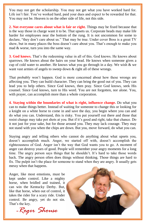You may not get the scholarship. You may not get what you have worked hard for. Life isn't fair. You've worked hard, paid your dues and expect to be rewarded for that. You may not be. Heaven is on the other side of life, not this side.

**2. Not everyone cares about what is fair or right.** Things may be fixed because that is the way those in charge want it to be. That upsets us. Corporate heads may make life harder for employees near the bottom of the rung. It is not uncommon for some to declare, "they don't care about us." That may be true. Under cover Boss is a great TV show, but in many places the boss doesn't care about you. That's enough to make you mad & worse, turn you into the same way.

**3. God knows.** That's the redeeming value in all of this. God knows. He knows about sparrows. He knows about the hairs on your head. He knows when someone gives a cup of cold water to another. He knows what you go through in a day. We wish & we want vast armies of angels to sweep down  $\&$  right all of these wrongs.

That probably won't happen. God is more concerned about how these wrongs are affecting you. They can build character. They can bring the good out of you. They can lead you to help others. Since God knows, then pray. Since God knows, seek His counsel. Since God knows, turn to His word. You are not forgotten, nor alone. You, with prayer, can accomplish more than a whole corporation.

**4. Staying within the boundaries of what is right, influence change.** Do what you can to make things better. Instead of waiting for someone to change this or looking for a knight on a white horse to come in and save the day, you begin where you can and do what you can. Understand, this is risky. You put yourself out there and those that resist change may take pot shots at you. But if it's good and right, take that chance. Do it not just for your sake, but for those around you. They may lack courage. They may not stand with you when the chips are down. But you, move forward, do what you can.

Staying angry and telling others who cannot do anything about what upsets you, doesn't accomplish much. Anger, we started off with, doesn't accomplish the righteousness of God. Anger isn't the way that God wants you to go. A moment of anger can destroy years of good. People will remember your angry moments for a long time. The angry person says things that he shouldn't. It's hard to take those words back. The angry person often does things without thinking. Those things are hard to fix. The pulpit isn't the place for someone to stand when they are angry. It usually gets messy when that happens.

Anger, like most emotions, must be kept under control. Like a mighty horse, when bridled and trained, it can win the Kentucky Derby. But, like that horse, when out of control, it takes the rider for a scary ride. Under control. Be angry, yet do not sin. That's the key.

 *-Roger Shouse*